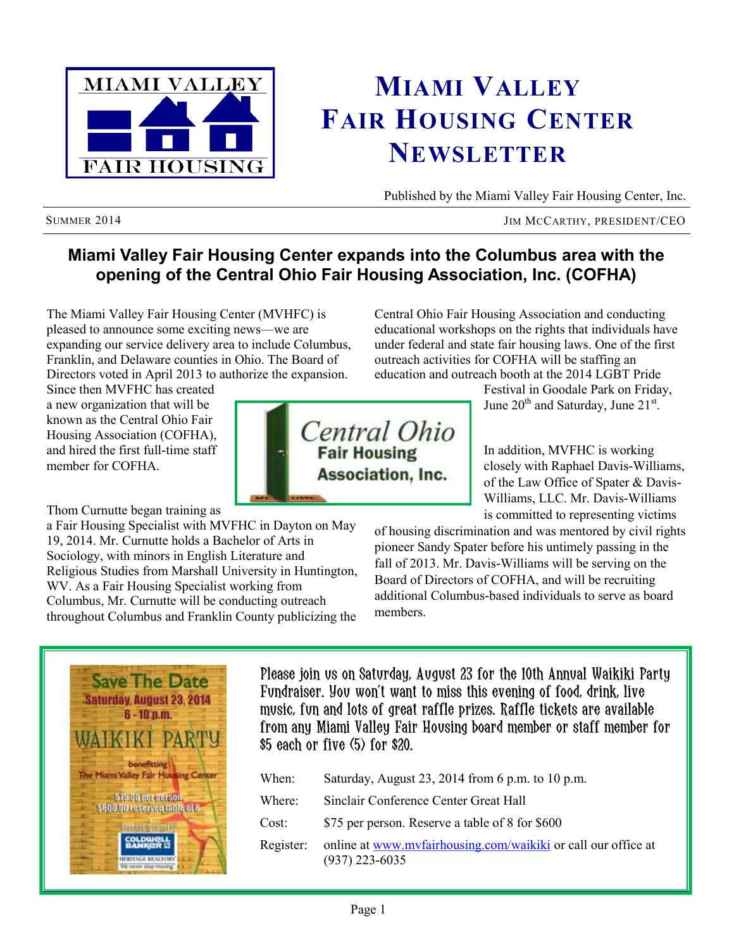

## **MIAMI VALLEY FAIR HOUSING CENTER NEWSLETTER**

Published by the Miami Valley Fair Housing Center, Inc.

SUMMER 2014 JIM MCCARTHY, PRESIDENT/CEO

#### **Miami Valley Fair Housing Center expands into the Columbus area with the opening of the Central Ohio Fair Housing Association, Inc. (COFHA)**

The Miami Valley Fair Housing Center (MVHFC) is pleased to announce some exciting news—we are expanding our service delivery area to include Columbus, Franklin, and Delaware counties in Ohio. The Board of Directors voted in April 2013 to authorize the expansion.

Since then MVFHC has created a new organization that will be known as the Central Ohio Fair Housing Association (COFHA), and hired the first full-time staff member for COFHA

Thom Curnutte began training as

a Fair Housing Specialist with MVFHC in Dayton on May 19, 2014. Mr. Curnutte holds a Bachelor of Arts in Sociology, with minors in English Literature and Religious Studies from Marshall University in Huntington, WV. As a Fair Housing Specialist working from Columbus, Mr. Curnutte will be conducting outreach throughout Columbus and Franklin County publicizing the Central Ohio Fair Housing Association and conducting educational workshops on the rights that individuals have under federal and state fair housing laws. One of the first outreach activities for COFHA will be staffing an education and outreach booth at the 2014 LGBT Pride

> Festival in Goodale Park on Friday, June 20<sup>th</sup> and Saturday, June 21<sup>st</sup>.

In addition, MVFHC is working closely with Raphael Davis-Williams, of the Law Office of Spater & Davis-Williams, LLC. Mr. Davis-Williams is committed to representing victims

of housing discrimination and was mentored by civil rights pioneer Sandy Spater before his untimely passing in the fall of 2013. Mr. Davis-Williams will be serving on the Board of Directors of COFHA, and will be recruiting additional Columbus-based individuals to serve as board members.



Please join us on Saturday, August 23 for the 10th Annual Waikiki Party Fundraiser. You won't want to miss this evening of food, drink, live music, fun and lots of great raffle prizes. Raffle tickets are available from any Miami Valley Fair Housing board member or staff member for \$5 each or five (5) for \$20.

| When:     | Saturday, August 23, 2014 from 6 p.m. to 10 p.m.                                  |
|-----------|-----------------------------------------------------------------------------------|
| Where:    | Sinclair Conference Center Great Hall                                             |
| Cost:     | \$75 per person. Reserve a table of 8 for \$600                                   |
| Register: | online at www.myfairhousing.com/waikiki or call our office at<br>$(937)$ 223-6035 |

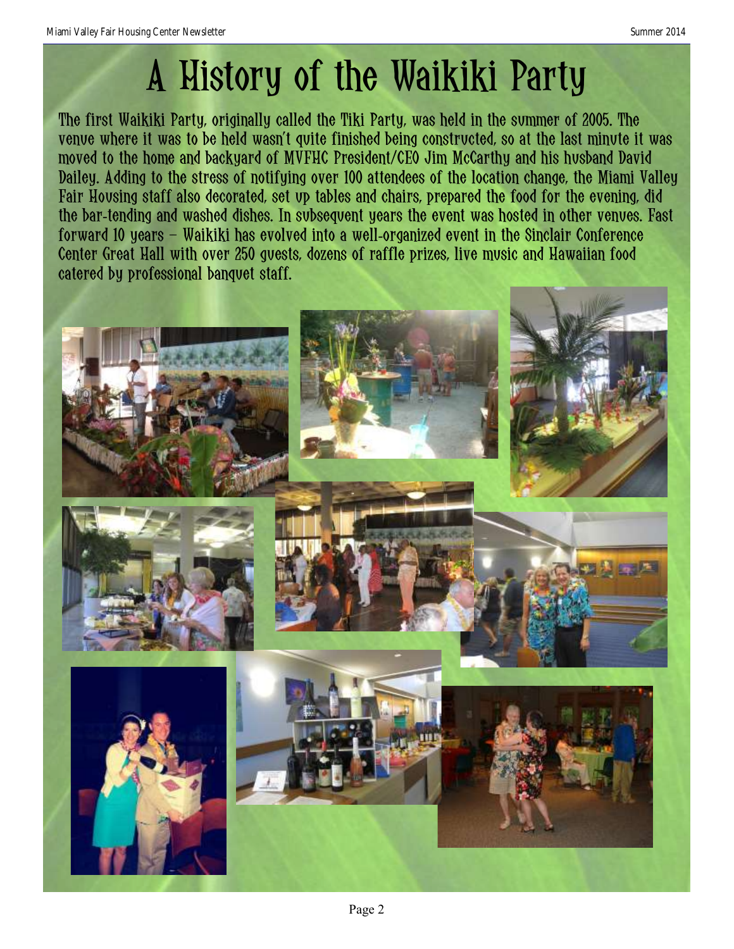# A History of the Waikiki Party

The first Waikiki Party, originally called the Tiki Party, was held in the summer of 2005. The venue where it was to be held wasn't quite finished being constructed, so at the last minute it was moved to the home and backyard of MVFHC President/CEO Jim McCarthy and his husband David Dailey. Adding to the stress of notifying over 100 attendees of the location change, the Miami Valley Fair Housing staff also decorated, set up tables and chairs, prepared the food for the evening, did the bar-tending and washed dishes. In subsequent years the event was hosted in other venues. Fast forward 10 years – Waikiki has evolved into a well-organized event in the Sinclair Conference Center Great Hall with over 250 guests, dozens of raffle prizes, live music and Hawaiian food catered by professional banquet staff.

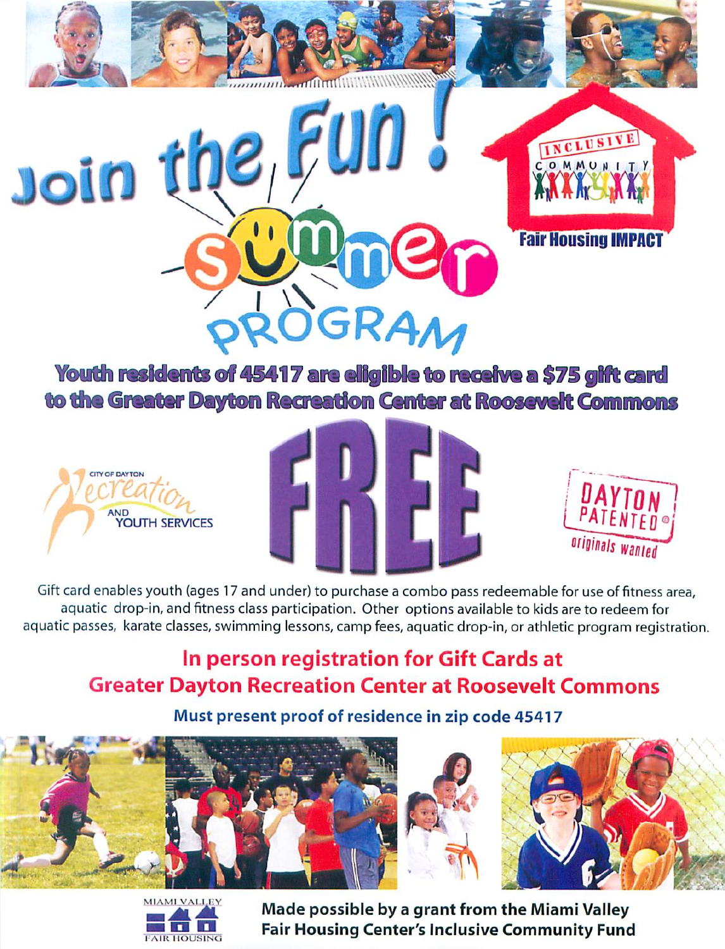

Youth residents of 45417 are eligible to receive a \$75 gift card to the Greater Dayton Recreation Center at Roosevelt Commons







Gift card enables youth (ages 17 and under) to purchase a combo pass redeemable for use of fitness area, aquatic drop-in, and fitness class participation. Other options available to kids are to redeem for aquatic passes, karate classes, swimming lessons, camp fees, aquatic drop-in, or athletic program registration.

## In person registration for Gift Cards at **Greater Dayton Recreation Center at Roosevelt Commons**

## Must present proof of residence in zip code 45417









Made possible by a grant from the Miami Valley **Fair Housing Center's Inclusive Community Fund**